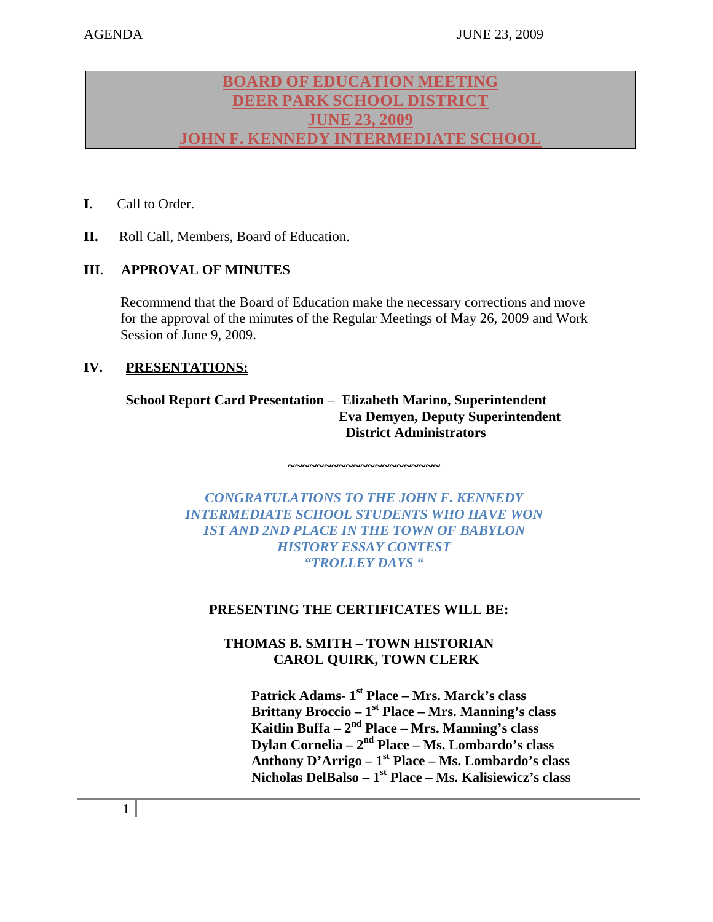I

# **DEER 23, 2009 BOARD OF EDUCATION MEETING DEER PARK SCHOOL DISTRICT JOHN F. KENNEDY INTERMEDIATE SCHOOL**

- **I.** Call to Order.
- **II.** Roll Call, Members, Board of Education.

### **III**. **APPROVAL OF MINUTES**

Recommend that the Board of Education make the necessary corrections and move for the approval of the minutes of the Regular Meetings of May 26, 2009 and Work Session of June 9, 2009.

### **IV. PRESENTATIONS:**

### **School Report Card Presentation** – **Elizabeth Marino, Superintendent Eva Demyen, Deputy Superintendent District Administrators**

*CONGRATULATIONS TO THE JOHN F. KENNEDY INTERMEDIATE SCHOOL STUDENTS WHO HAVE WON 1ST AND 2ND PLACE IN THE TOWN OF BABYLON HISTORY ESSAY CONTEST "TROLLEY DAYS "* 

**~~~~~~~~~~~~~~~~~~~~~** 

### **PRESENTING THE CERTIFICATES WILL BE:**

### **THOMAS B. SMITH – TOWN HISTORIAN CAROL QUIRK, TOWN CLERK**

Patrick Adams- 1<sup>st</sup> Place – Mrs. Marck's class **Brittany Broccio – 1st Place – Mrs. Manning's class Kaitlin Buffa – 2nd Place – Mrs. Manning's class Dylan Cornelia – 2nd Place – Ms. Lombardo's class Anthony D'Arrigo – 1st Place – Ms. Lombardo's class Nicholas DelBalso – 1st Place – Ms. Kalisiewicz's class** 

1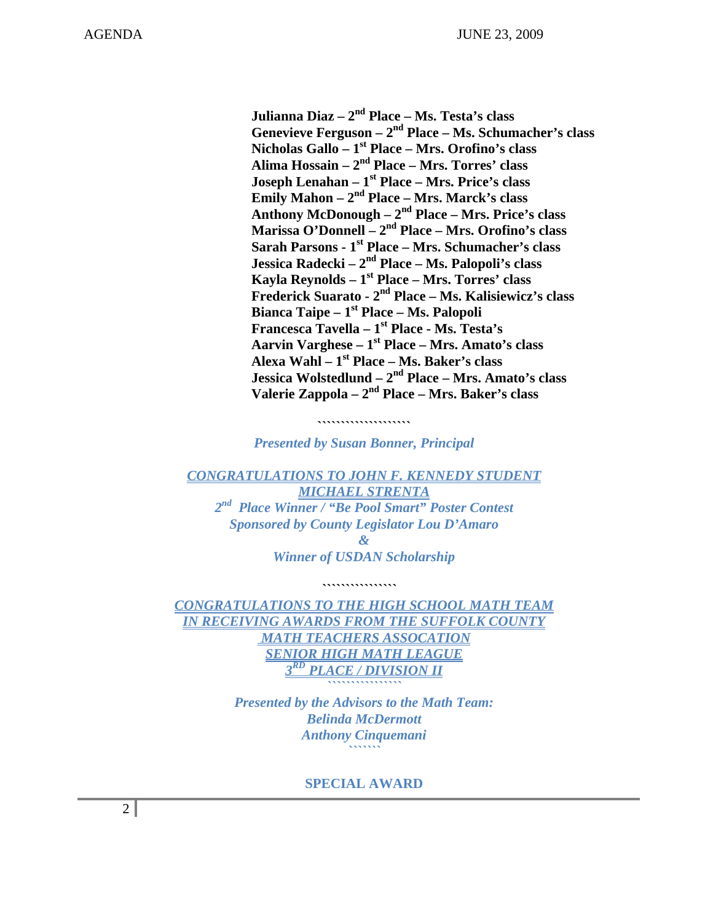**Julianna Diaz – 2nd Place – Ms. Testa's class Genevieve Ferguson – 2nd Place – Ms. Schumacher's class Nicholas Gallo – 1st Place – Mrs. Orofino's class Alima Hossain – 2nd Place – Mrs. Torres' class Joseph Lenahan – 1st Place – Mrs. Price's class Emily Mahon – 2nd Place – Mrs. Marck's class Anthony McDonough – 2nd Place – Mrs. Price's class Marissa O'Donnell – 2nd Place – Mrs. Orofino's class**  Sarah Parsons - 1<sup>st</sup> Place – Mrs. Schumacher's class **Jessica Radecki – 2nd Place – Ms. Palopoli's class Kayla Reynolds – 1st Place – Mrs. Torres' class Frederick Suarato - 2nd Place – Ms. Kalisiewicz's class Bianca Taipe – 1st Place – Ms. Palopoli Francesca Tavella – 1st Place - Ms. Testa's Aarvin Varghese – 1st Place – Mrs. Amato's class Alexa Wahl – 1st Place – Ms. Baker's class Jessica Wolstedlund – 2nd Place – Mrs. Amato's class Valerie Zappola – 2nd Place – Mrs. Baker's class** 

..................... *Presented by Susan Bonner, Principal* 

*CONGRATULATIONS TO JOHN F. KENNEDY STUDENT MICHAEL STRENTA 2nd Place Winner / "Be Pool Smart" Poster Contest Sponsored by County Legislator Lou D'Amaro & Winner of USDAN Scholarship* 

*CONGRATULATIONS TO THE HIGH SCHOOL MATH TEAM IN RECEIVING AWARDS FROM THE SUFFOLK COUNTY MATH TEACHERS ASSOCATION SENIOR HIGH MATH LEAGUE 3RD PLACE / DIVISION II ````````````````* 

**````````````````** 

*Presented by the Advisors to the Math Team: Belinda McDermott Anthony Cinquemani ```````* 

**SPECIAL AWARD**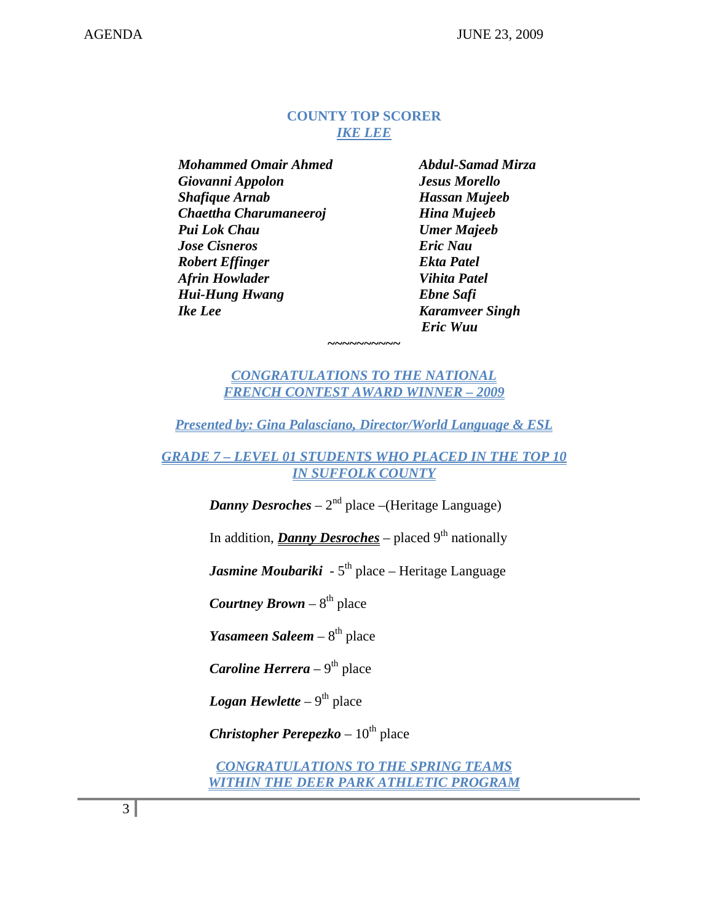### **COUNTY TOP SCORER**  *IKE LEE*

*Mohammed Omair Ahmed Abdul-Samad Mirza Giovanni Appolon Jesus Morello Shafique Arnab Hassan Mujeeb Chaettha Charumaneeroj Hina Mujeeb Pui Lok Chau Umer Majeeb Jose Cisneros Eric Nau Robert Effinger* Ekta Patel *Afrin Howlader Vihita Patel Hui-Hung Hwang Ebne Safi Ike Lee Karamveer Singh* 

 *Eric Wuu* 

### *CONGRATULATIONS TO THE NATIONAL FRENCH CONTEST AWARD WINNER – 2009*

**~~~~~~~~~~** 

*Presented by: Gina Palasciano, Director/World Language & ESL*

*GRADE 7 – LEVEL 01 STUDENTS WHO PLACED IN THE TOP 10 IN SUFFOLK COUNTY*

*Danny Desroches* –  $2<sup>nd</sup>$  place –(Heritage Language)

In addition, *Danny Desroches* – placed  $9<sup>th</sup>$  nationally

*Jasmine Moubariki* - 5<sup>th</sup> place – Heritage Language

*Courtney Brown* –  $8<sup>th</sup>$  place

*Yasameen Saleem* – 8<sup>th</sup> place

*Caroline Herrera* –  $9<sup>th</sup>$  place

*Logan Hewlette* –  $9<sup>th</sup>$  place

*Christopher Perepezko* –  $10^{th}$  place

*CONGRATULATIONS TO THE SPRING TEAMS WITHIN THE DEER PARK ATHLETIC PROGRAM*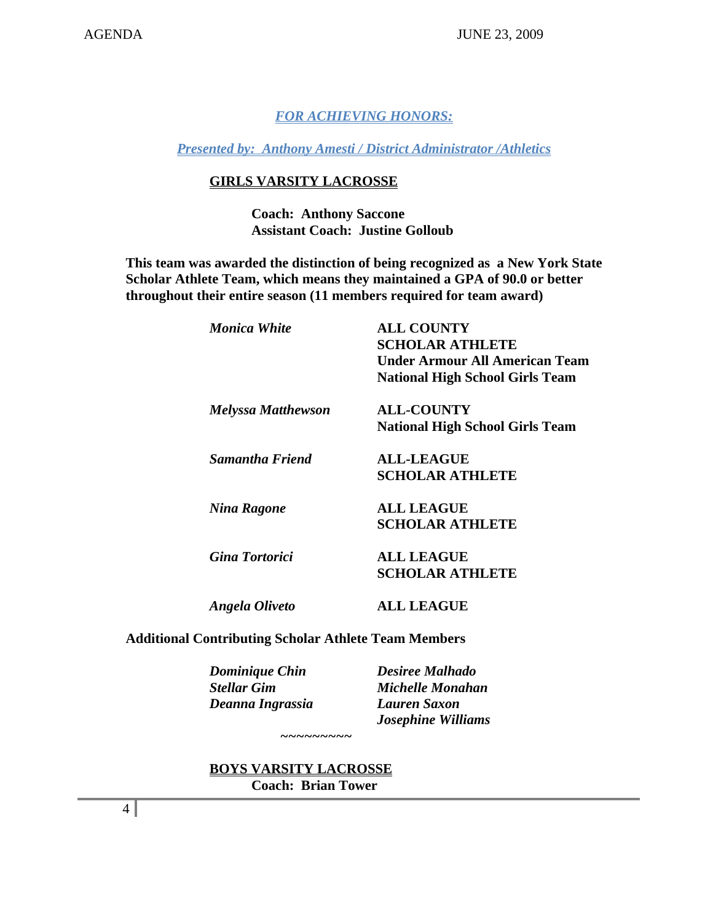### *FOR ACHIEVING HONORS:*

*Presented by: Anthony Amesti / District Administrator /Athletics*

### **GIRLS VARSITY LACROSSE**

 **Coach: Anthony Saccone Assistant Coach: Justine Golloub** 

 **This team was awarded the distinction of being recognized as a New York State Scholar Athlete Team, which means they maintained a GPA of 90.0 or better throughout their entire season (11 members required for team award)** 

| <b>Monica White</b>                                         | <b>ALL COUNTY</b>                      |
|-------------------------------------------------------------|----------------------------------------|
|                                                             | <b>SCHOLAR ATHLETE</b>                 |
|                                                             | <b>Under Armour All American Team</b>  |
|                                                             | <b>National High School Girls Team</b> |
| <b>Melyssa Matthewson</b>                                   | <b>ALL-COUNTY</b>                      |
|                                                             | <b>National High School Girls Team</b> |
| <b>Samantha Friend</b>                                      | <b>ALL-LEAGUE</b>                      |
|                                                             | <b>SCHOLAR ATHLETE</b>                 |
| Nina Ragone                                                 | <b>ALL LEAGUE</b>                      |
|                                                             | <b>SCHOLAR ATHLETE</b>                 |
| Gina Tortorici                                              | <b>ALL LEAGUE</b>                      |
|                                                             | <b>SCHOLAR ATHLETE</b>                 |
| Angela Oliveto                                              | <b>ALL LEAGUE</b>                      |
| <b>Additional Contributing Scholar Athlete Team Members</b> |                                        |
| Dominique Chin                                              | <b>Desiree Malhado</b>                 |
| <b>Stellar Gim</b>                                          | <b>Michelle Monahan</b>                |
|                                                             |                                        |

 *Deanna Ingrassia Lauren Saxon* 

 *Josephine Williams* 

 **BOYS VARSITY LACROSSE Coach: Brian Tower** 

*~~~~~~~~~* 

4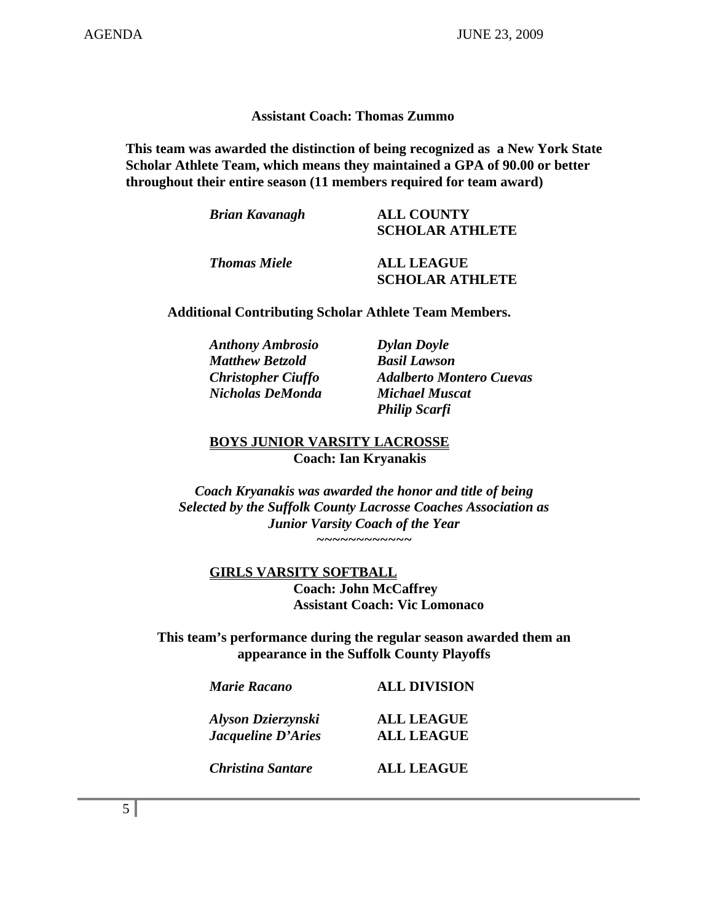AGENDA JUNE 23, 2009

### **Assistant Coach: Thomas Zummo**

 **This team was awarded the distinction of being recognized as a New York State Scholar Athlete Team, which means they maintained a GPA of 90.00 or better throughout their entire season (11 members required for team award)** 

| <b>Brian Kavanagh</b> | <b>ALL COUNTY</b><br><b>SCHOLAR ATHLETE</b> |  |
|-----------------------|---------------------------------------------|--|
| <b>Thomas Miele</b>   | <b>ALL LEAGUE</b><br><b>SCHOLAR ATHLETE</b> |  |

 **Additional Contributing Scholar Athlete Team Members.** 

*Anthony Ambrosio Dylan Doyle Matthew Betzold Basil Lawson Nicholas DeMonda Michael Muscat* 

 *Christopher Ciuffo Adalberto Montero Cuevas Philip Scarfi* 

#### **BOYS JUNIOR VARSITY LACROSSE Coach: Ian Kryanakis**

*Coach Kryanakis was awarded the honor and title of being Selected by the Suffolk County Lacrosse Coaches Association as Junior Varsity Coach of the Year ~~~~~~~~~~~~* 

 **GIRLS VARSITY SOFTBALL Coach: John McCaffrey Assistant Coach: Vic Lomonaco** 

**This team's performance during the regular season awarded them an appearance in the Suffolk County Playoffs** 

| <b>Marie Racano</b>       | <b>ALL DIVISION</b> |  |
|---------------------------|---------------------|--|
| Alyson Dzierzynski        | <b>ALL LEAGUE</b>   |  |
| <b>Jacqueline D'Aries</b> | <b>ALL LEAGUE</b>   |  |
|                           |                     |  |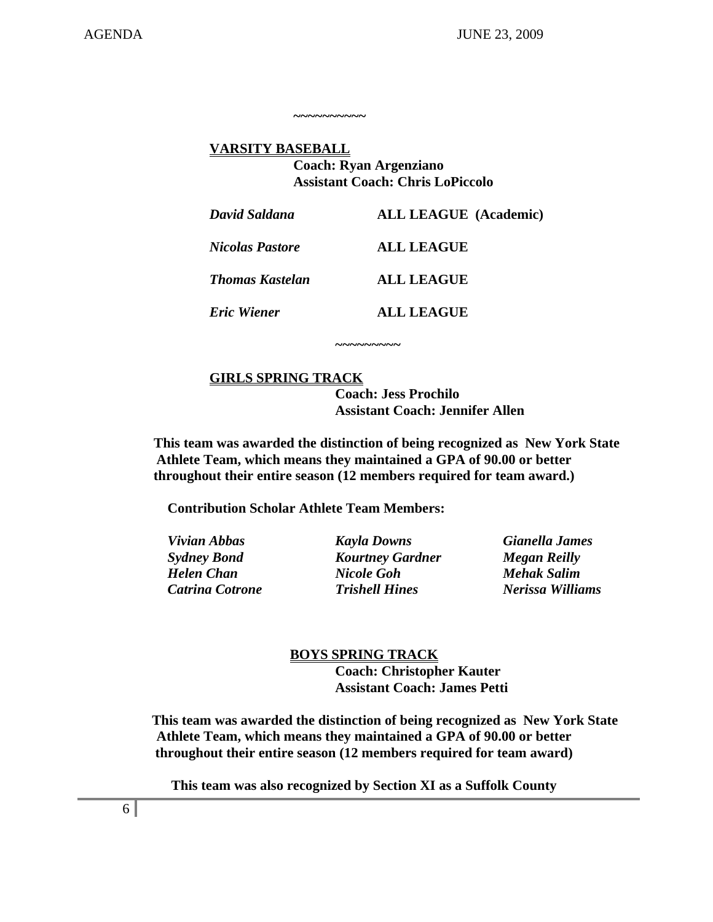**VARSITY BASEBALL Coach: Ryan Argenziano Assistant Coach: Chris LoPiccolo** 

 **~~~~~~~~~~** 

| David Saldana          | <b>ALL LEAGUE</b> (Academic) |  |  |
|------------------------|------------------------------|--|--|
| <b>Nicolas Pastore</b> | <b>ALL LEAGUE</b>            |  |  |
| <b>Thomas Kastelan</b> | <b>ALL LEAGUE</b>            |  |  |
| Eric Wiener            | <b>ALL LEAGUE</b>            |  |  |

### **GIRLS SPRING TRACK**

 **~~~~~~~~~** 

 **Coach: Jess Prochilo Assistant Coach: Jennifer Allen** 

 **This team was awarded the distinction of being recognized as New York State Athlete Team, which means they maintained a GPA of 90.00 or better throughout their entire season (12 members required for team award.)** 

 **Contribution Scholar Athlete Team Members:** 

| Vivian Abbas           | <b>Kayla Downs</b>      | Gianella James     |
|------------------------|-------------------------|--------------------|
| <b>Sydney Bond</b>     | <b>Kourtney Gardner</b> | Megan Reilly       |
| <b>Helen Chan</b>      | <b>Nicole Goh</b>       | <b>Mehak Salim</b> |
| <b>Catrina Cotrone</b> | <b>Trishell Hines</b>   | Nerissa Williams   |

### **BOYS SPRING TRACK Coach: Christopher Kauter Assistant Coach: James Petti**

 **This team was awarded the distinction of being recognized as New York State Athlete Team, which means they maintained a GPA of 90.00 or better throughout their entire season (12 members required for team award)** 

**This team was also recognized by Section XI as a Suffolk County**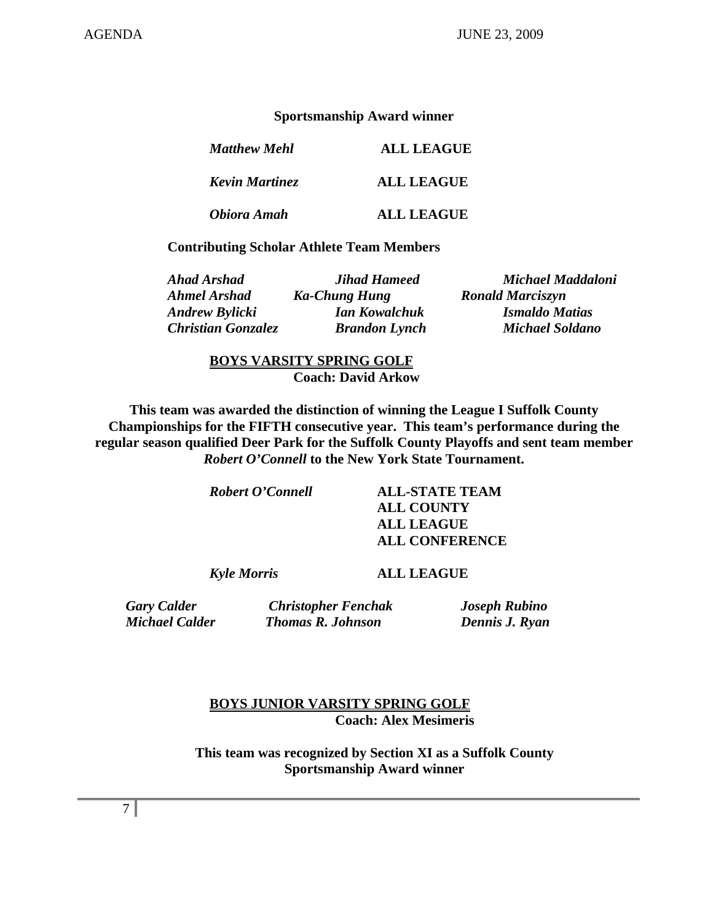#### **Sportsmanship Award winner**

*Matthew Mehl* **ALL LEAGUE** *Kevin Martinez* **ALL LEAGUE** *Obiora Amah* **ALL LEAGUE** 

 **Contributing Scholar Athlete Team Members** 

*Ahad Arshad Jihad Hameed Michael Maddaloni Ahmel Arshad Ka-Chung Hung Ronald Marciszyn Andrew Bylicki Ian Kowalchuk Ismaldo Matias Christian Gonzalez Brandon Lynch Michael Soldano*

#### **BOYS VARSITY SPRING GOLF Coach: David Arkow**

**This team was awarded the distinction of winning the League I Suffolk County Championships for the FIFTH consecutive year. This team's performance during the regular season qualified Deer Park for the Suffolk County Playoffs and sent team member**  *Robert O'Connell* **to the New York State Tournament.** 

*Robert O'Connell* **ALL-STATE TEAM ALL COUNTY ALL LEAGUE ALL CONFERENCE** 

*Kyle Morris* **ALL LEAGUE** 

*Gary Calder Christopher Fenchak Joseph Rubino Michael Calder Thomas R. Johnson Dennis J. Ryan* 

 **BOYS JUNIOR VARSITY SPRING GOLF Coach: Alex Mesimeris** 

**This team was recognized by Section XI as a Suffolk County Sportsmanship Award winner** 

 $7<sup>1</sup>$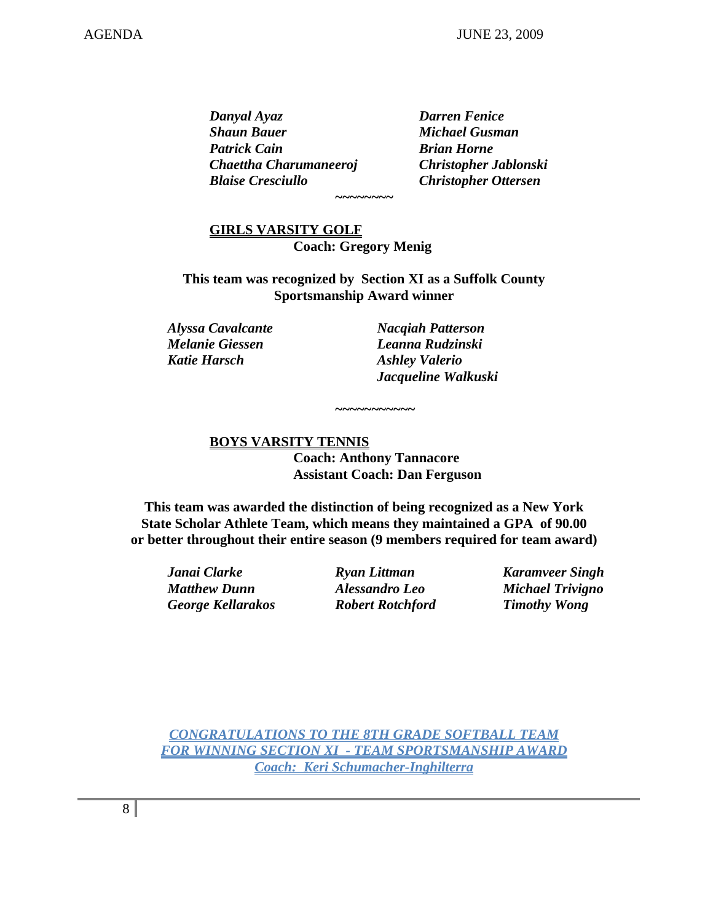*Danyal Ayaz Darren Fenice Shaun Bauer Michael Gusman Patrick Cain* **Brian Horne**  *Chaettha Charumaneeroj Christopher Jablonski Blaise Cresciullo Christopher Ottersen* 

 **~~~~~~~~** 

 **~~~~~~~~~~~** 

 **GIRLS VARSITY GOLF Coach: Gregory Menig** 

**This team was recognized by Section XI as a Suffolk County Sportsmanship Award winner** 

 *Katie Harsch Ashley Valerio* 

*Alyssa Cavalcante Nacqiah Patterson Melanie Giessen Leanna Rudzinski Jacqueline Walkuski* 

### **BOYS VARSITY TENNIS**

 **Coach: Anthony Tannacore Assistant Coach: Dan Ferguson** 

**This team was awarded the distinction of being recognized as a New York State Scholar Athlete Team, which means they maintained a GPA of 90.00 or better throughout their entire season (9 members required for team award)** 

 *Matthew Dunn Alessandro Leo Michael Trivigno George Kellarakos Robert Rotchford Timothy Wong* 

*Janai Clarke Ryan Littman Karamveer Singh* 

*CONGRATULATIONS TO THE 8TH GRADE SOFTBALL TEAM FOR WINNING SECTION XI - TEAM SPORTSMANSHIP AWARD Coach: Keri Schumacher-Inghilterra*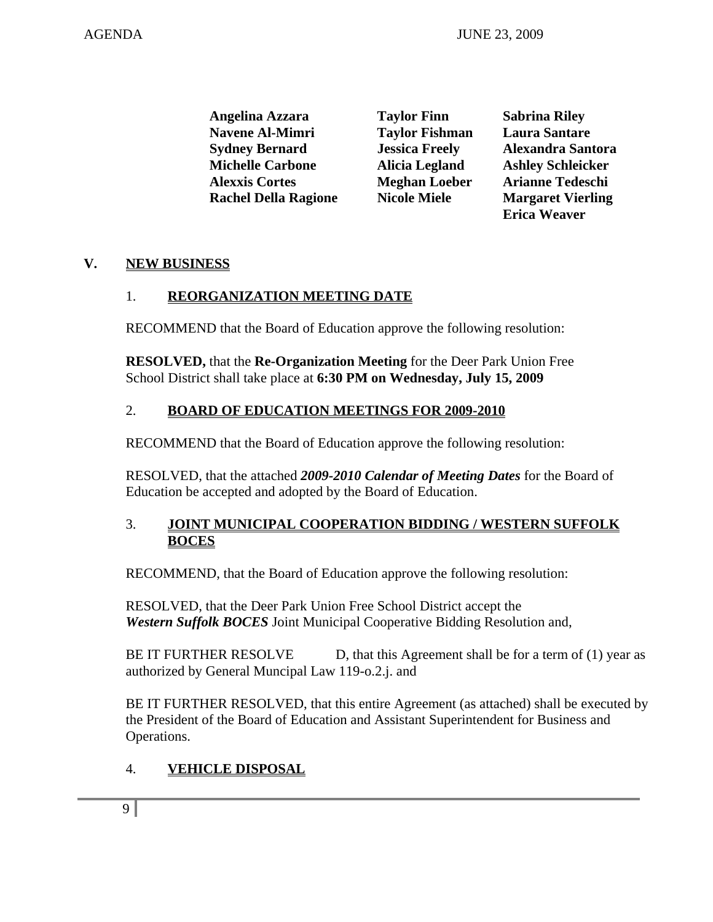**Angelina Azzara Taylor Finn Sabrina Riley Navene Al-Mimri Taylor Fishman Laura Santare Sydney Bernard Jessica Freely Alexandra Santora Michelle Carbone Alicia Legland Ashley Schleicker Alexxis Cortes Meghan Loeber Arianne Tedeschi Rachel Della Ragione Nicole Miele Margaret Vierling** 

 **Erica Weaver** 

## **V. NEW BUSINESS**

## 1. **REORGANIZATION MEETING DATE**

RECOMMEND that the Board of Education approve the following resolution:

 **RESOLVED,** that the **Re-Organization Meeting** for the Deer Park Union Free School District shall take place at **6:30 PM on Wednesday, July 15, 2009**

## 2. **BOARD OF EDUCATION MEETINGS FOR 2009-2010**

RECOMMEND that the Board of Education approve the following resolution:

 RESOLVED, that the attached *2009-2010 Calendar of Meeting Dates* for the Board of Education be accepted and adopted by the Board of Education.

## 3. **JOINT MUNICIPAL COOPERATION BIDDING / WESTERN SUFFOLK BOCES**

RECOMMEND, that the Board of Education approve the following resolution:

 RESOLVED, that the Deer Park Union Free School District accept the *Western Suffolk BOCES* Joint Municipal Cooperative Bidding Resolution and,

BE IT FURTHER RESOLVE D, that this Agreement shall be for a term of (1) year as authorized by General Muncipal Law 119-o.2.j. and

 BE IT FURTHER RESOLVED, that this entire Agreement (as attached) shall be executed by the President of the Board of Education and Assistant Superintendent for Business and Operations.

## 4. **VEHICLE DISPOSAL**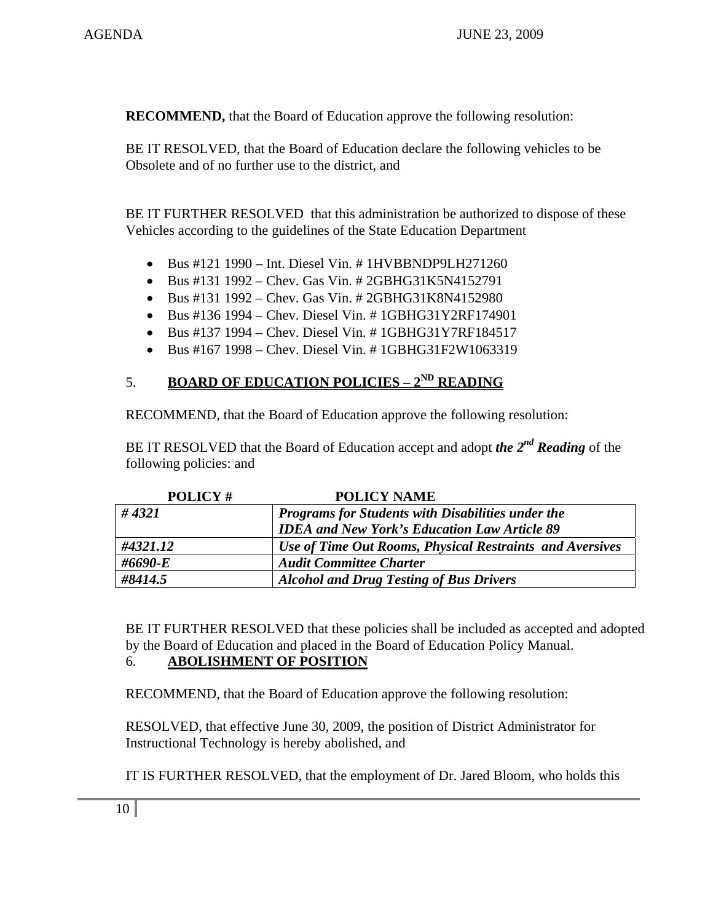**RECOMMEND,** that the Board of Education approve the following resolution:

 BE IT RESOLVED, that the Board of Education declare the following vehicles to be Obsolete and of no further use to the district, and

 BE IT FURTHER RESOLVED that this administration be authorized to dispose of these Vehicles according to the guidelines of the State Education Department

- Bus  $\#121$  1990 Int. Diesel Vin.  $\#$  1HVBBNDP9LH271260
- Bus #131 1992 Chev. Gas Vin. # 2GBHG31K5N4152791
- Bus #131 1992 Chev. Gas Vin. # 2GBHG31K8N4152980
- Bus  $\#136$  1994 Chev. Diesel Vin.  $\#1$ GBHG31Y2RF174901
- Bus  $\#137$  1994 Chev. Diesel Vin.  $\#1GBHG31Y7RF184517$
- Bus #167 1998 Chev. Diesel Vin. # 1GBHG31F2W1063319

# 5. **BOARD OF EDUCATION POLICIES – 2ND READING**

RECOMMEND, that the Board of Education approve the following resolution:

 BE IT RESOLVED that the Board of Education accept and adopt *the 2nd Reading* of the following policies: and

| <b>POLICY#</b> | <b>POLICY NAME</b>                                       |
|----------------|----------------------------------------------------------|
| #4321          | <b>Programs for Students with Disabilities under the</b> |
|                | <b>IDEA and New York's Education Law Article 89</b>      |
| #4321.12       | Use of Time Out Rooms, Physical Restraints and Aversives |
| #6690-E        | <b>Audit Committee Charter</b>                           |
| #8414.5        | <b>Alcohol and Drug Testing of Bus Drivers</b>           |

 BE IT FURTHER RESOLVED that these policies shall be included as accepted and adopted by the Board of Education and placed in the Board of Education Policy Manual.

## 6. **ABOLISHMENT OF POSITION**

RECOMMEND, that the Board of Education approve the following resolution:

 RESOLVED, that effective June 30, 2009, the position of District Administrator for Instructional Technology is hereby abolished, and

IT IS FURTHER RESOLVED, that the employment of Dr. Jared Bloom, who holds this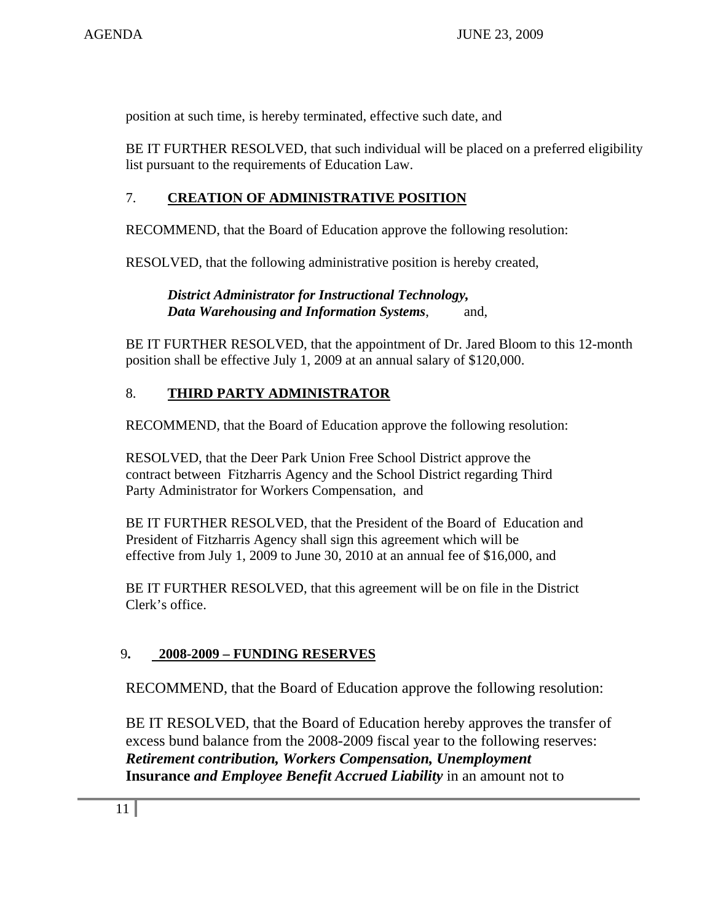position at such time, is hereby terminated, effective such date, and

 BE IT FURTHER RESOLVED, that such individual will be placed on a preferred eligibility list pursuant to the requirements of Education Law.

## 7. **CREATION OF ADMINISTRATIVE POSITION**

RECOMMEND, that the Board of Education approve the following resolution:

RESOLVED, that the following administrative position is hereby created,

 *District Administrator for Instructional Technology, Data Warehousing and Information Systems*, and,

 BE IT FURTHER RESOLVED, that the appointment of Dr. Jared Bloom to this 12-month position shall be effective July 1, 2009 at an annual salary of \$120,000.

## 8. **THIRD PARTY ADMINISTRATOR**

RECOMMEND, that the Board of Education approve the following resolution:

 RESOLVED, that the Deer Park Union Free School District approve the contract between Fitzharris Agency and the School District regarding Third Party Administrator for Workers Compensation, and

 BE IT FURTHER RESOLVED, that the President of the Board of Education and President of Fitzharris Agency shall sign this agreement which will be effective from July 1, 2009 to June 30, 2010 at an annual fee of \$16,000, and

 BE IT FURTHER RESOLVED, that this agreement will be on file in the District Clerk's office.

## 9**. 2008-2009 – FUNDING RESERVES**

RECOMMEND, that the Board of Education approve the following resolution:

 BE IT RESOLVED, that the Board of Education hereby approves the transfer of excess bund balance from the 2008-2009 fiscal year to the following reserves: *Retirement contribution, Workers Compensation, Unemployment*  **Insurance** *and Employee Benefit Accrued Liability* in an amount not to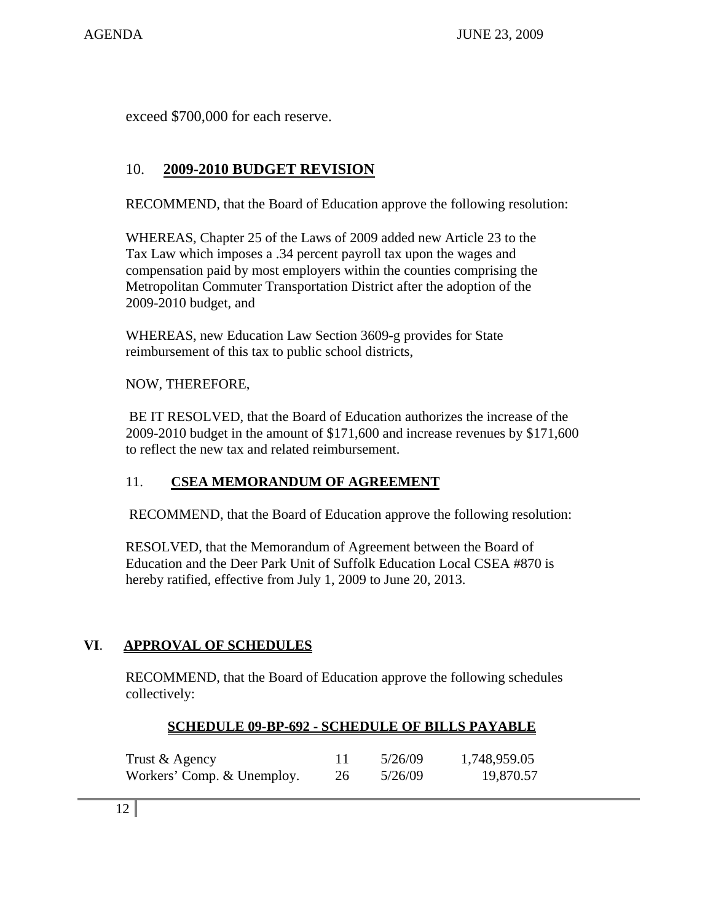exceed \$700,000 for each reserve.

## 10. **2009-2010 BUDGET REVISION**

RECOMMEND, that the Board of Education approve the following resolution:

 WHEREAS, Chapter 25 of the Laws of 2009 added new Article 23 to the Tax Law which imposes a .34 percent payroll tax upon the wages and compensation paid by most employers within the counties comprising the Metropolitan Commuter Transportation District after the adoption of the 2009-2010 budget, and

 WHEREAS, new Education Law Section 3609-g provides for State reimbursement of this tax to public school districts,

NOW, THEREFORE,

 BE IT RESOLVED, that the Board of Education authorizes the increase of the 2009-2010 budget in the amount of \$171,600 and increase revenues by \$171,600 to reflect the new tax and related reimbursement.

### 11. **CSEA MEMORANDUM OF AGREEMENT**

RECOMMEND, that the Board of Education approve the following resolution:

 RESOLVED, that the Memorandum of Agreement between the Board of Education and the Deer Park Unit of Suffolk Education Local CSEA #870 is hereby ratified, effective from July 1, 2009 to June 20, 2013.

## **VI**. **APPROVAL OF SCHEDULES**

RECOMMEND, that the Board of Education approve the following schedules collectively:

### **SCHEDULE 09-BP-692 - SCHEDULE OF BILLS PAYABLE**

| Trust & Agency             |    | 5/26/09 | 1,748,959.05 |
|----------------------------|----|---------|--------------|
| Workers' Comp. & Unemploy. | 26 | 5/26/09 | 19,870.57    |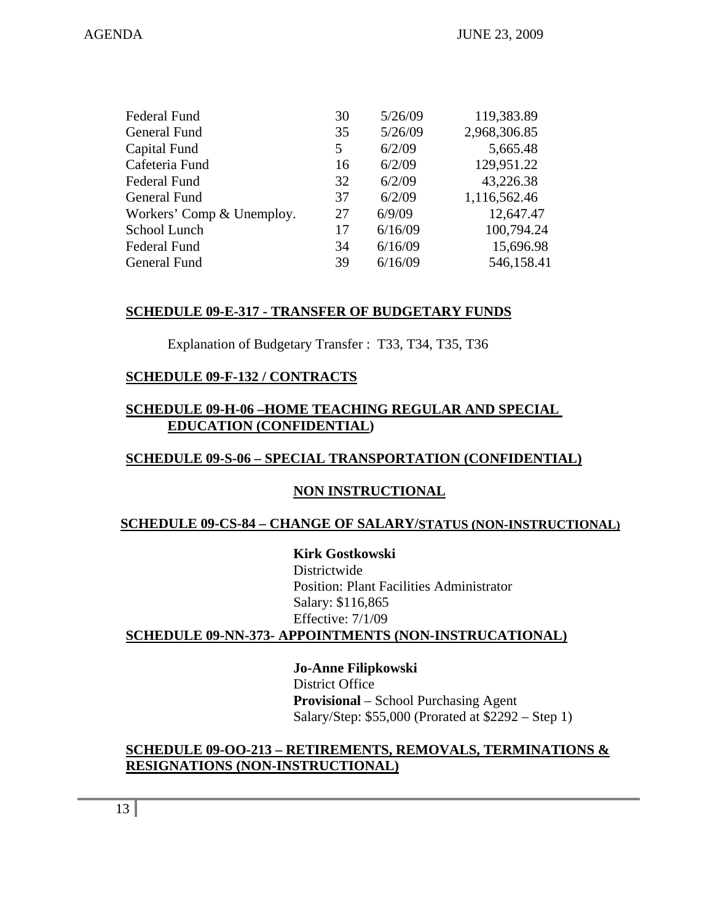| Federal Fund              | 30 | 5/26/09 | 119,383.89   |
|---------------------------|----|---------|--------------|
| General Fund              | 35 | 5/26/09 | 2,968,306.85 |
| Capital Fund              | 5  | 6/2/09  | 5,665.48     |
| Cafeteria Fund            | 16 | 6/2/09  | 129,951.22   |
| Federal Fund              | 32 | 6/2/09  | 43,226.38    |
| General Fund              | 37 | 6/2/09  | 1,116,562.46 |
| Workers' Comp & Unemploy. | 27 | 6/9/09  | 12,647.47    |
| School Lunch              | 17 | 6/16/09 | 100,794.24   |
| Federal Fund              | 34 | 6/16/09 | 15,696.98    |
| General Fund              | 39 | 6/16/09 | 546,158.41   |

### **SCHEDULE 09-E-317 - TRANSFER OF BUDGETARY FUNDS**

Explanation of Budgetary Transfer : T33, T34, T35, T36

### **SCHEDULE 09-F-132 / CONTRACTS**

### **SCHEDULE 09-H-06 –HOME TEACHING REGULAR AND SPECIAL EDUCATION (CONFIDENTIAL)**

### **SCHEDULE 09-S-06 – SPECIAL TRANSPORTATION (CONFIDENTIAL)**

### **NON INSTRUCTIONAL**

### **SCHEDULE 09-CS-84 – CHANGE OF SALARY/STATUS (NON-INSTRUCTIONAL)**

### **Kirk Gostkowski**  Districtwide Position: Plant Facilities Administrator Salary: \$116,865 Effective: 7/1/09 **SCHEDULE 09-NN-373- APPOINTMENTS (NON-INSTRUCATIONAL)**

 **Jo-Anne Filipkowski** District Office **Provisional** – School Purchasing Agent Salary/Step: \$55,000 (Prorated at \$2292 – Step 1)

### **SCHEDULE 09-OO-213 – RETIREMENTS, REMOVALS, TERMINATIONS & RESIGNATIONS (NON-INSTRUCTIONAL)**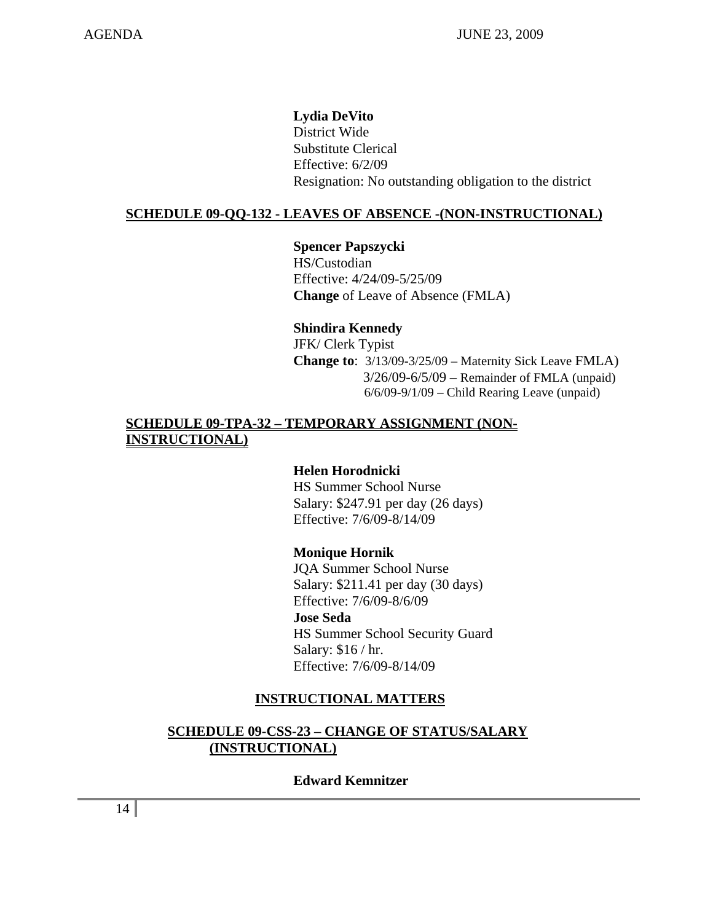### **Lydia DeVito**

District Wide Substitute Clerical Effective: 6/2/09 Resignation: No outstanding obligation to the district

### **SCHEDULE 09-QQ-132 - LEAVES OF ABSENCE -(NON-INSTRUCTIONAL)**

 **Spencer Papszycki** HS/Custodian Effective: 4/24/09-5/25/09 **Change** of Leave of Absence (FMLA)

### **Shindira Kennedy**

JFK/ Clerk Typist **Change to**: 3/13/09-3/25/09 – Maternity Sick Leave FMLA) 3/26/09-6/5/09 – Remainder of FMLA (unpaid) 6/6/09-9/1/09 – Child Rearing Leave (unpaid)

### **SCHEDULE 09-TPA-32 – TEMPORARY ASSIGNMENT (NON- INSTRUCTIONAL)**

### **Helen Horodnicki**

 HS Summer School Nurse Salary: \$247.91 per day (26 days) Effective: 7/6/09-8/14/09

### **Monique Hornik**

JQA Summer School Nurse Salary: \$211.41 per day (30 days) Effective: 7/6/09-8/6/09 **Jose Seda**  HS Summer School Security Guard Salary: \$16 / hr. Effective: 7/6/09-8/14/09

### **INSTRUCTIONAL MATTERS**

### **SCHEDULE 09-CSS-23 – CHANGE OF STATUS/SALARY (INSTRUCTIONAL)**

 **Edward Kemnitzer**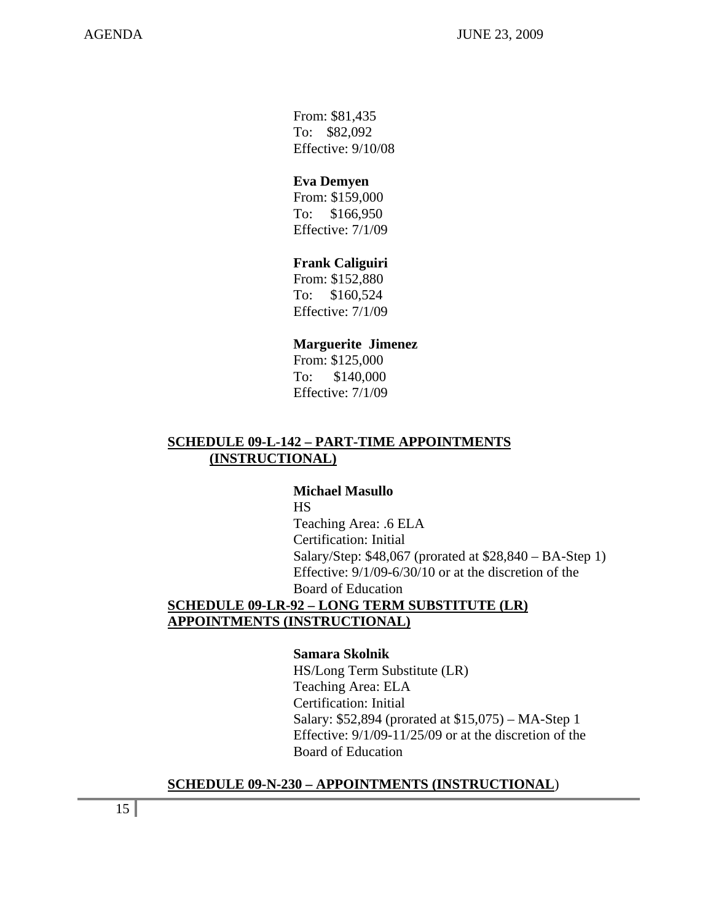From: \$81,435 To: \$82,092 Effective: 9/10/08

#### **Eva Demyen**

From: \$159,000 To: \$166,950 Effective: 7/1/09

### **Frank Caliguiri**

From: \$152,880 To: \$160,524 Effective: 7/1/09

### **Marguerite Jimenez**

From: \$125,000 To: \$140,000 Effective: 7/1/09

### **SCHEDULE 09-L-142 – PART-TIME APPOINTMENTS (INSTRUCTIONAL)**

### **Michael Masullo**

HS

 Teaching Area: .6 ELA Certification: Initial Salary/Step: \$48,067 (prorated at \$28,840 – BA-Step 1) Effective: 9/1/09-6/30/10 or at the discretion of the Board of Education

### **SCHEDULE 09-LR-92 – LONG TERM SUBSTITUTE (LR) APPOINTMENTS (INSTRUCTIONAL)**

#### **Samara Skolnik**

HS/Long Term Substitute (LR) Teaching Area: ELA Certification: Initial Salary: \$52,894 (prorated at \$15,075) – MA-Step 1 Effective: 9/1/09-11/25/09 or at the discretion of the Board of Education

### **SCHEDULE 09-N-230 – APPOINTMENTS (INSTRUCTIONAL**)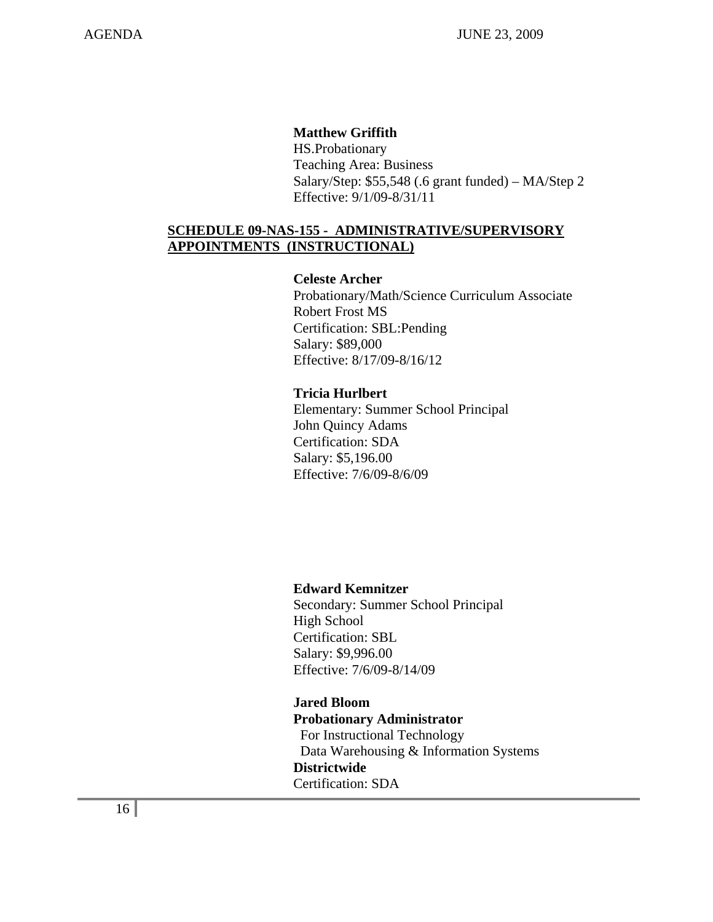#### **Matthew Griffith**

HS.Probationary Teaching Area: Business Salary/Step: \$55,548 (.6 grant funded) – MA/Step 2 Effective: 9/1/09-8/31/11

### **SCHEDULE 09-NAS-155 - ADMINISTRATIVE/SUPERVISORY APPOINTMENTS (INSTRUCTIONAL)**

#### **Celeste Archer**

Probationary/Math/Science Curriculum Associate Robert Frost MS Certification: SBL:Pending Salary: \$89,000 Effective: 8/17/09-8/16/12

#### **Tricia Hurlbert**

Elementary: Summer School Principal John Quincy Adams Certification: SDA Salary: \$5,196.00 Effective: 7/6/09-8/6/09

#### **Edward Kemnitzer**

Secondary: Summer School Principal High School Certification: SBL Salary: \$9,996.00 Effective: 7/6/09-8/14/09

## **Jared Bloom**

 **Probationary Administrator**  For Instructional Technology Data Warehousing & Information Systems **Districtwide**  Certification: SDA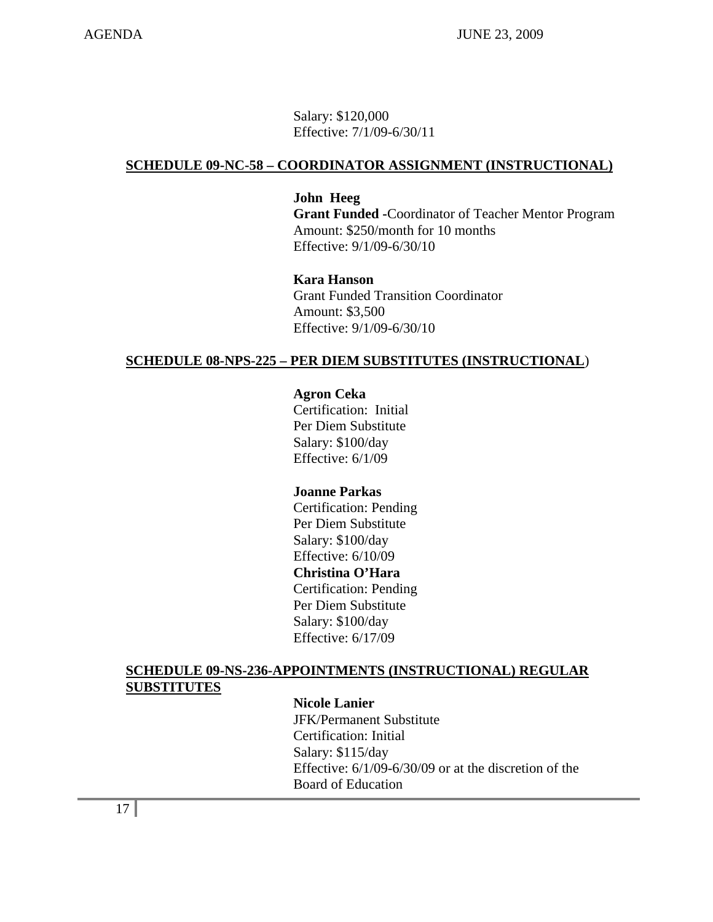Salary: \$120,000 Effective: 7/1/09-6/30/11

### **SCHEDULE 09-NC-58 – COORDINATOR ASSIGNMENT (INSTRUCTIONAL)**

#### **John Heeg**

 **Grant Funded -**Coordinator of Teacher Mentor Program Amount: \$250/month for 10 months Effective: 9/1/09-6/30/10

#### **Kara Hanson**

Grant Funded Transition Coordinator Amount: \$3,500 Effective: 9/1/09-6/30/10

### **SCHEDULE 08-NPS-225 – PER DIEM SUBSTITUTES (INSTRUCTIONAL**)

 **Agron Ceka** Certification: Initial Per Diem Substitute Salary: \$100/day Effective: 6/1/09

### **Joanne Parkas**

Certification: Pending Per Diem Substitute Salary: \$100/day Effective: 6/10/09 **Christina O'Hara** Certification: Pending Per Diem Substitute Salary: \$100/day Effective: 6/17/09

### **SCHEDULE 09-NS-236-APPOINTMENTS (INSTRUCTIONAL) REGULAR SUBSTITUTES**

### **Nicole Lanier**

 JFK/Permanent Substitute Certification: Initial Salary: \$115/day Effective: 6/1/09-6/30/09 or at the discretion of the Board of Education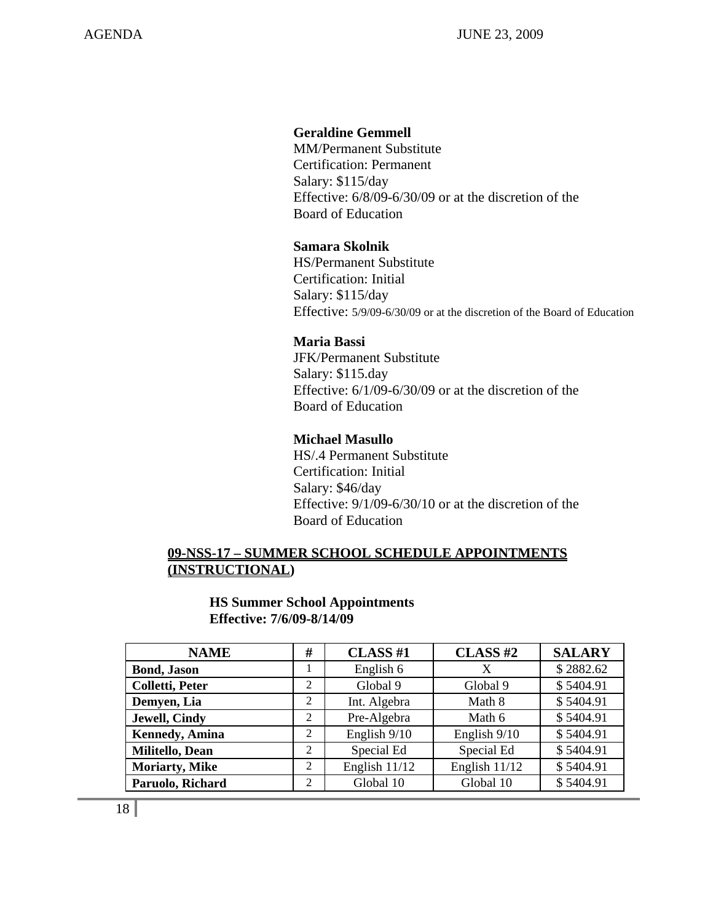### **Geraldine Gemmell**

MM/Permanent Substitute Certification: Permanent Salary: \$115/day Effective: 6/8/09-6/30/09 or at the discretion of the Board of Education

### **Samara Skolnik**

**HS/Permanent Substitute**  Certification: Initial Salary: \$115/day Effective: 5/9/09-6/30/09 or at the discretion of the Board of Education

### **Maria Bassi**

JFK/Permanent Substitute Salary: \$115.day Effective: 6/1/09-6/30/09 or at the discretion of the Board of Education

### **Michael Masullo**

 HS/.4 Permanent Substitute Certification: Initial Salary: \$46/day Effective: 9/1/09-6/30/10 or at the discretion of the Board of Education

### **09-NSS-17 – SUMMER SCHOOL SCHEDULE APPOINTMENTS (INSTRUCTIONAL)**

 **HS Summer School Appointments Effective: 7/6/09-8/14/09** 

| <b>NAME</b>            | # | <b>CLASS</b> #1 | <b>CLASS #2</b> | <b>SALARY</b> |
|------------------------|---|-----------------|-----------------|---------------|
| <b>Bond, Jason</b>     |   | English 6       | X               | \$2882.62     |
| Colletti, Peter        | 2 | Global 9        | Global 9        | \$5404.91     |
| Demyen, Lia            | 2 | Int. Algebra    | Math 8          | \$5404.91     |
| <b>Jewell, Cindy</b>   | 2 | Pre-Algebra     | Math 6          | \$5404.91     |
| <b>Kennedy</b> , Amina | 2 | English 9/10    | English 9/10    | \$5404.91     |
| Militello, Dean        | 2 | Special Ed      | Special Ed      | \$5404.91     |
| <b>Moriarty, Mike</b>  | 2 | English $11/12$ | English $11/12$ | \$5404.91     |
| Paruolo, Richard       | 2 | Global 10       | Global 10       | \$5404.91     |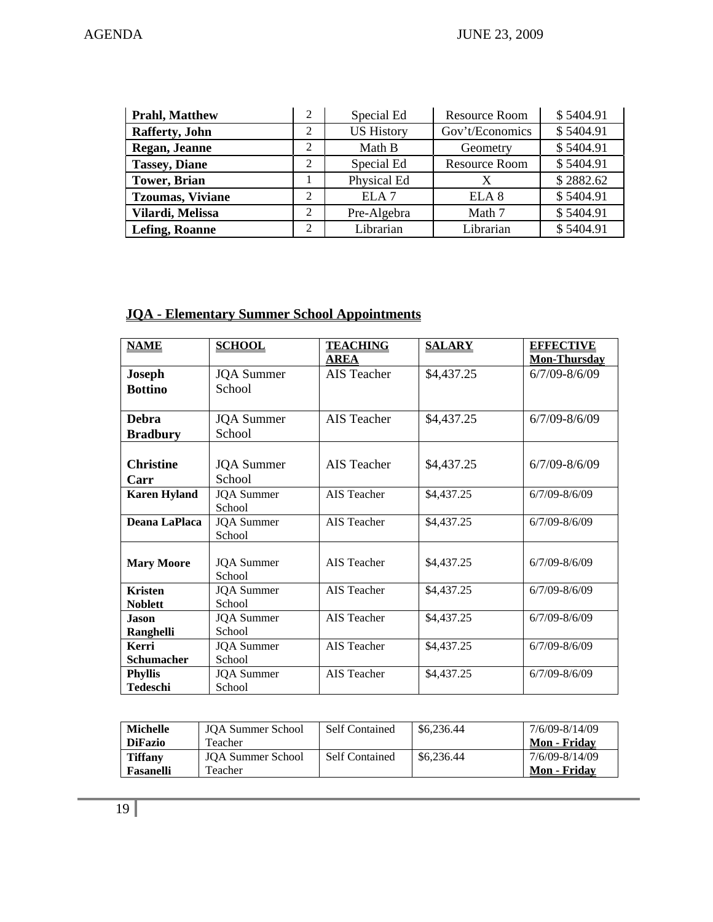| <b>Prahl, Matthew</b>   | $\overline{2}$ | Special Ed        | <b>Resource Room</b> | \$5404.91 |
|-------------------------|----------------|-------------------|----------------------|-----------|
| <b>Rafferty</b> , John  | 2              | <b>US History</b> | Gov't/Economics      | \$5404.91 |
| Regan, Jeanne           | 2              | Math B            | Geometry             | \$5404.91 |
| <b>Tassey</b> , Diane   | 2              | Special Ed        | <b>Resource Room</b> | \$5404.91 |
| <b>Tower</b> , Brian    |                | Physical Ed       | Х                    | \$2882.62 |
| <b>Tzoumas, Viviane</b> | 2              | ELA <sub>7</sub>  | ELA <sub>8</sub>     | \$5404.91 |
| Vilardi, Melissa        | 2              | Pre-Algebra       | Math 7               | \$5404.91 |
| <b>Lefing, Roanne</b>   | 2              | Librarian         | Librarian            | \$5404.91 |

# **JQA - Elementary Summer School Appointments**

| <b>NAME</b>                      | <b>SCHOOL</b>               | <b>TEACHING</b><br><b>AREA</b> | <b>SALARY</b> | <b>EFFECTIVE</b><br><b>Mon-Thursday</b> |
|----------------------------------|-----------------------------|--------------------------------|---------------|-----------------------------------------|
| <b>Joseph</b><br><b>Bottino</b>  | <b>JQA</b> Summer<br>School | <b>AIS</b> Teacher             | \$4,437.25    | $6/7/09 - 8/6/09$                       |
| <b>Debra</b><br><b>Bradbury</b>  | <b>JQA</b> Summer<br>School | AIS Teacher                    | \$4,437.25    | $6/7/09 - 8/6/09$                       |
| <b>Christine</b><br>Carr         | <b>JQA</b> Summer<br>School | AIS Teacher                    | \$4,437.25    | $6/7/09 - 8/6/09$                       |
| <b>Karen Hyland</b>              | <b>JQA</b> Summer<br>School | AIS Teacher                    | \$4,437.25    | $6/7/09 - 8/6/09$                       |
| Deana LaPlaca                    | <b>JQA</b> Summer<br>School | AIS Teacher                    | \$4,437.25    | $6/7/09 - 8/6/09$                       |
| <b>Mary Moore</b>                | <b>JQA</b> Summer<br>School | AIS Teacher                    | \$4,437.25    | $6/7/09 - 8/6/09$                       |
| <b>Kristen</b><br><b>Noblett</b> | <b>JQA</b> Summer<br>School | AIS Teacher                    | \$4,437.25    | $6/7/09 - 8/6/09$                       |
| Jason<br>Ranghelli               | <b>JQA</b> Summer<br>School | AIS Teacher                    | \$4,437.25    | $6/7/09 - 8/6/09$                       |
| Kerri<br>Schumacher              | <b>JQA</b> Summer<br>School | AIS Teacher                    | \$4,437.25    | $6/7/09 - 8/6/09$                       |
| <b>Phyllis</b><br>Tedeschi       | <b>JQA</b> Summer<br>School | AIS Teacher                    | \$4,437.25    | $6/7/09 - 8/6/09$                       |

| Michelle       | JOA Summer School | Self Contained        | \$6,236.44 | 7/6/09-8/14/09      |
|----------------|-------------------|-----------------------|------------|---------------------|
| <b>DiFazio</b> | Teacher           |                       |            | Mon - Fridav        |
| <b>Tiffany</b> | JOA Summer School | <b>Self Contained</b> | \$6.236.44 | 7/6/09-8/14/09      |
| Fasanelli      | Teacher           |                       |            | <b>Mon</b> - Fridav |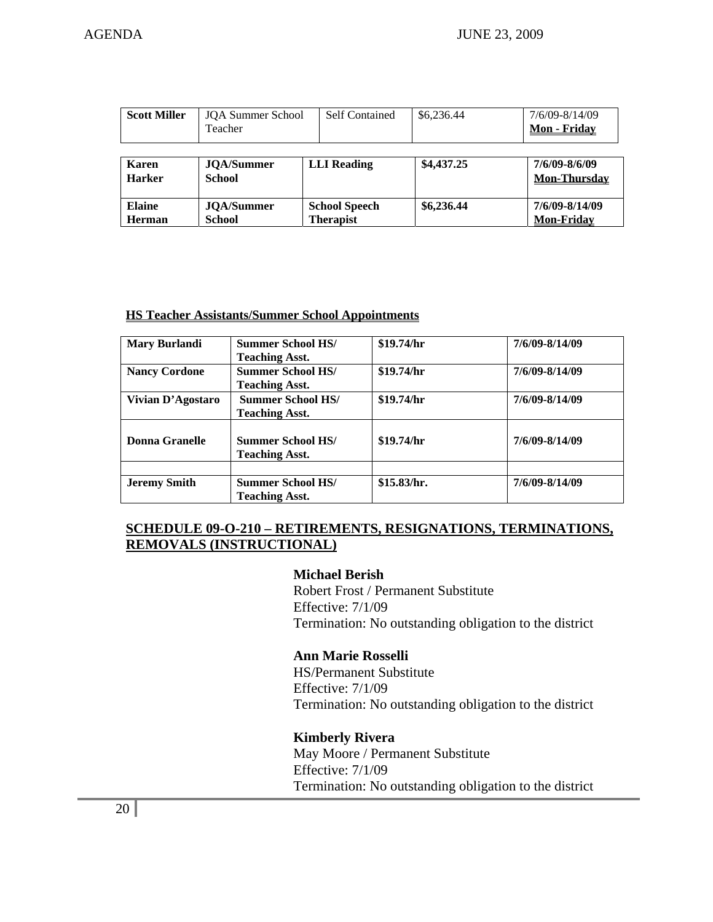| <b>Scott Miller</b>           | <b>JOA Summer School</b><br>Teacher | Self Contained       | \$6,236.44 | 7/6/09-8/14/09<br>Mon - Friday       |
|-------------------------------|-------------------------------------|----------------------|------------|--------------------------------------|
|                               |                                     |                      |            |                                      |
| <b>Karen</b><br><b>Harker</b> | <b>JQA/Summer</b><br><b>School</b>  | <b>LLI</b> Reading   | \$4,437.25 | 7/6/09-8/6/09<br><b>Mon-Thursday</b> |
| <b>Elaine</b>                 | <b>JOA/Summer</b>                   | <b>School Speech</b> | \$6,236.44 | 7/6/09-8/14/09                       |
| <b>Herman</b>                 | <b>School</b>                       | <b>Therapist</b>     |            | <b>Mon-Friday</b>                    |

#### **HS Teacher Assistants/Summer School Appointments**

| <b>Mary Burlandi</b> | <b>Summer School HS/</b><br><b>Teaching Asst.</b> | \$19.74/hr  | 7/6/09-8/14/09 |
|----------------------|---------------------------------------------------|-------------|----------------|
| <b>Nancy Cordone</b> | <b>Summer School HS/</b><br><b>Teaching Asst.</b> | \$19.74/hr  | 7/6/09-8/14/09 |
| Vivian D'Agostaro    | <b>Summer School HS/</b><br><b>Teaching Asst.</b> | \$19.74/hr  | 7/6/09-8/14/09 |
| Donna Granelle       | <b>Summer School HS/</b><br><b>Teaching Asst.</b> | \$19.74/hr  | 7/6/09-8/14/09 |
| <b>Jeremy Smith</b>  | <b>Summer School HS/</b><br><b>Teaching Asst.</b> | \$15.83/hr. | 7/6/09-8/14/09 |

### **SCHEDULE 09-O-210 – RETIREMENTS, RESIGNATIONS, TERMINATIONS, REMOVALS (INSTRUCTIONAL)**

### **Michael Berish**

Robert Frost / Permanent Substitute Effective: 7/1/09 Termination: No outstanding obligation to the district

### **Ann Marie Rosselli**

**HS/Permanent Substitute**  Effective: 7/1/09 Termination: No outstanding obligation to the district

### **Kimberly Rivera**

May Moore / Permanent Substitute Effective: 7/1/09 Termination: No outstanding obligation to the district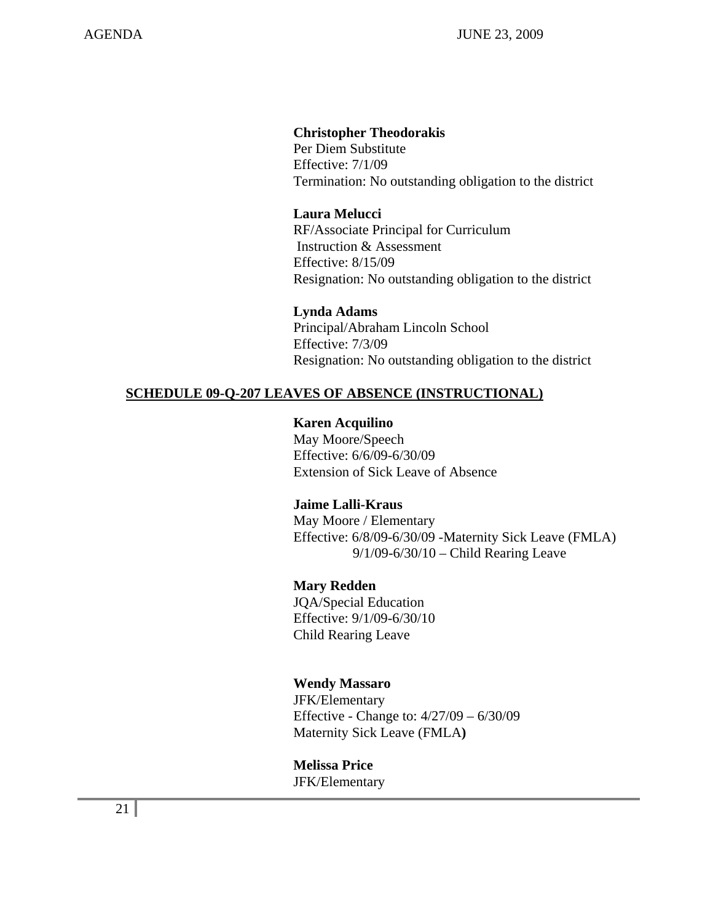### **Christopher Theodorakis**

Per Diem Substitute Effective: 7/1/09 Termination: No outstanding obligation to the district

#### **Laura Melucci**

RF/Associate Principal for Curriculum Instruction & Assessment Effective: 8/15/09 Resignation: No outstanding obligation to the district

### **Lynda Adams**

Principal/Abraham Lincoln School Effective: 7/3/09 Resignation: No outstanding obligation to the district

### **SCHEDULE 09-Q-207 LEAVES OF ABSENCE (INSTRUCTIONAL)**

#### **Karen Acquilino**

May Moore/Speech Effective: 6/6/09-6/30/09 Extension of Sick Leave of Absence

### **Jaime Lalli-Kraus**

May Moore / Elementary Effective: 6/8/09-6/30/09 -Maternity Sick Leave (FMLA) 9/1/09-6/30/10 – Child Rearing Leave

### **Mary Redden**

JQA/Special Education Effective: 9/1/09-6/30/10 Child Rearing Leave

### **Wendy Massaro**

JFK/Elementary Effective - Change to: 4/27/09 – 6/30/09 Maternity Sick Leave (FMLA**)** 

### **Melissa Price**

JFK/Elementary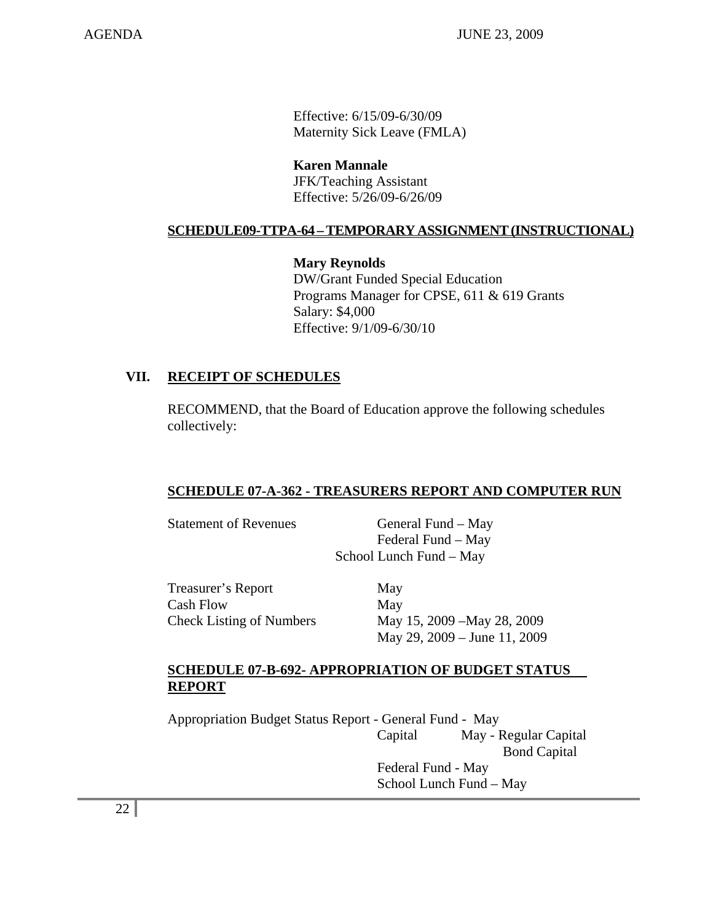Effective: 6/15/09-6/30/09 Maternity Sick Leave (FMLA)

### **Karen Mannale**

JFK/Teaching Assistant Effective: 5/26/09-6/26/09

### **SCHEDULE09-TTPA-64 – TEMPORARY ASSIGNMENT (INSTRUCTIONAL)**

 **Mary Reynolds** DW/Grant Funded Special Education Programs Manager for CPSE, 611 & 619 Grants Salary: \$4,000 Effective: 9/1/09-6/30/10

### **VII. RECEIPT OF SCHEDULES**

RECOMMEND, that the Board of Education approve the following schedules collectively:

### **SCHEDULE 07-A-362 - TREASURERS REPORT AND COMPUTER RUN**

**Statement of Revenues** General Fund – May Federal Fund – May School Lunch Fund – May

Treasurer's Report May Cash Flow May

 Check Listing of Numbers May 15, 2009 –May 28, 2009 May 29, 2009 – June 11, 2009

### **SCHEDULE 07-B-692- APPROPRIATION OF BUDGET STATUS REPORT**

Appropriation Budget Status Report - General Fund - May Capital May - Regular Capital Bond Capital Federal Fund - May School Lunch Fund – May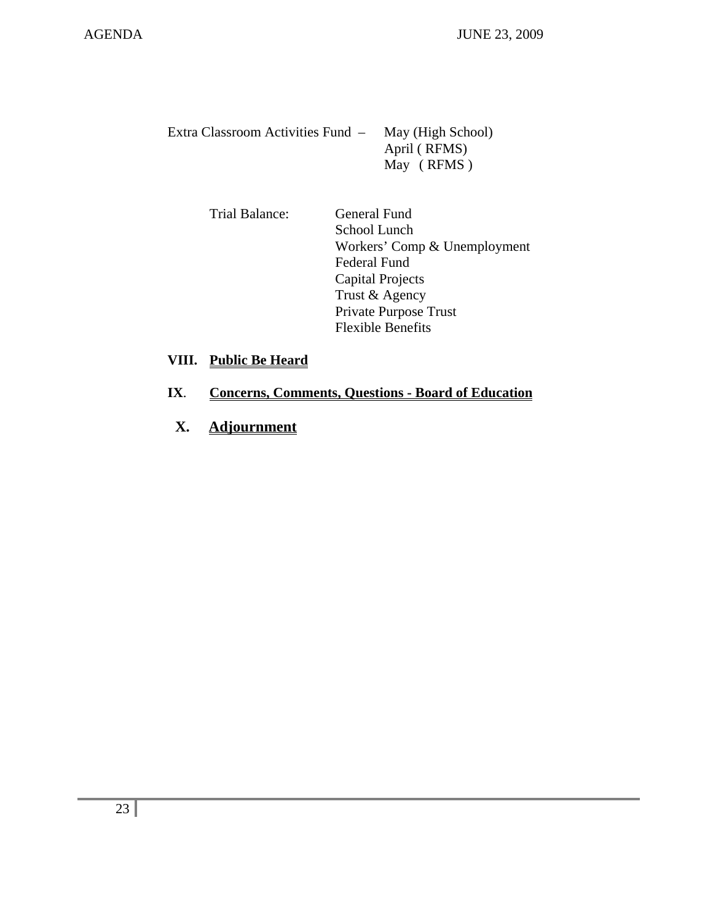Extra Classroom Activities Fund – May (High School) April ( RFMS) May ( RFMS )

> Trial Balance: General Fund School Lunch Workers' Comp & Unemployment Federal Fund Capital Projects Trust & Agency Private Purpose Trust Flexible Benefits

### **VIII. Public Be Heard**

## **IX**. **Concerns, Comments, Questions - Board of Education**

## **X. Adjournment**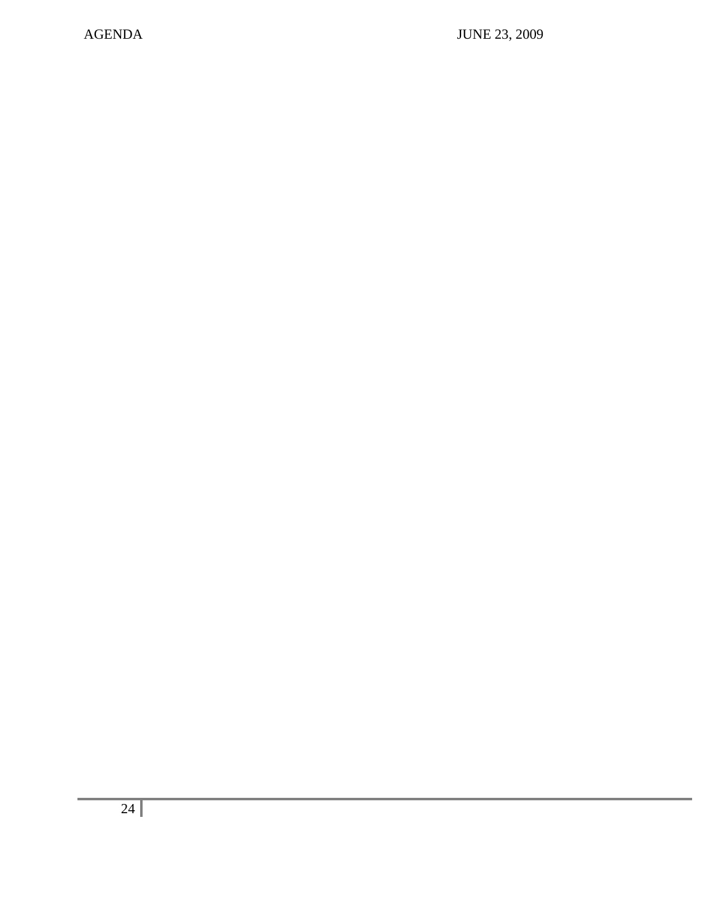AGENDA JUNE 23, 2009